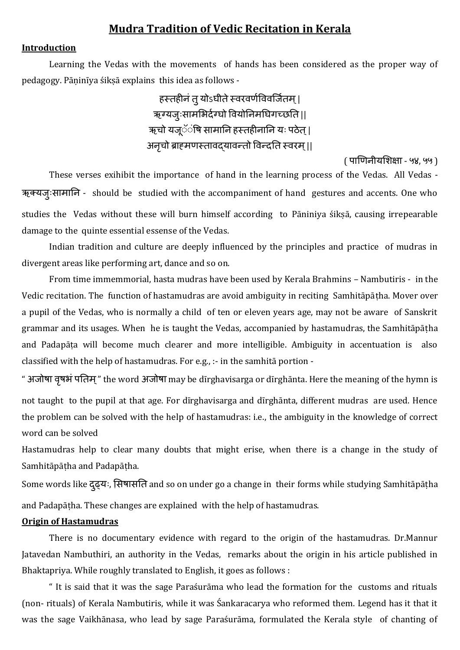# **Mudra Tradition of Vedic Recitation in Kerala**

#### **Introduction**

Learning the Vedas with the movements of hands has been considered as the proper way of pedagogy. Pāṇinīya śikṣā explains this idea as follows -

> हस्तहीनं तु योऽघीते स्वरवर्णविवर्जितम | ऋग्यजुःसामभिर्दग्घो वियोनिमघिगच्छति || ऋचो यजूॅ**ंषि सामानि हस्तहीनानि यः पठेत्** | अनृचो ब्राहमणस्तावद्यावन्तो विन्दति स्वरम् ||

> > ( पाणिनीयशिक्षा - ५४, ५५ )

These verses exihibit the importance of hand in the learning process of the Vedas. All Vedas - ऋक्यजुःसामानि - should be studied with the accompaniment of hand gestures and accents. One who studies the Vedas without these will burn himself according to Pāniniya śikṣā, causing irrepearable damage to the quinte essential essense of the Vedas.

Indian tradition and culture are deeply influenced by the principles and practice of mudras in divergent areas like performing art, dance and so on.

From time immemmorial, hasta mudras have been used by Kerala Brahmins – Nambutiris - in the Vedic recitation. The function of hastamudras are avoid ambiguity in reciting Samhitāpāṭha. Mover over a pupil of the Vedas, who is normally a child of ten or eleven years age, may not be aware of Sanskrit grammar and its usages. When he is taught the Vedas, accompanied by hastamudras, the Samhitāpātha and Padapāṭa will become much clearer and more intelligible. Ambiguity in accentuation is also classified with the help of hastamudras. For e.g., :- in the samhitā portion -

" अजोषा वृषभं पतिम्" the word अजोषा may be dīrghavisarga or dīrghānta. Here the meaning of the hymn is not taught to the pupil at that age. For dīrghavisarga and dīrghānta, different mudras are used. Hence the problem can be solved with the help of hastamudras: i.e., the ambiguity in the knowledge of correct word can be solved

Hastamudras help to clear many doubts that might erise, when there is a change in the study of Samhitāpāṭha and Padapāṭha.

Some words like दृढ्यः, सिषासति and so on under go a change in their forms while studying Samhitāpāṭha and Padapāṭha. These changes are explained with the help of hastamudras.

#### **Origin of Hastamudras**

There is no documentary evidence with regard to the origin of the hastamudras. Dr.Mannur Jatavedan Nambuthiri, an authority in the Vedas, remarks about the origin in his article published in Bhaktapriya. While roughly translated to English, it goes as follows :

" It is said that it was the sage Paraśurāma who lead the formation for the customs and rituals (non- rituals) of Kerala Nambutiris, while it was Śankaracarya who reformed them. Legend has it that it was the sage Vaikhānasa, who lead by sage Paraśurāma, formulated the Kerala style of chanting of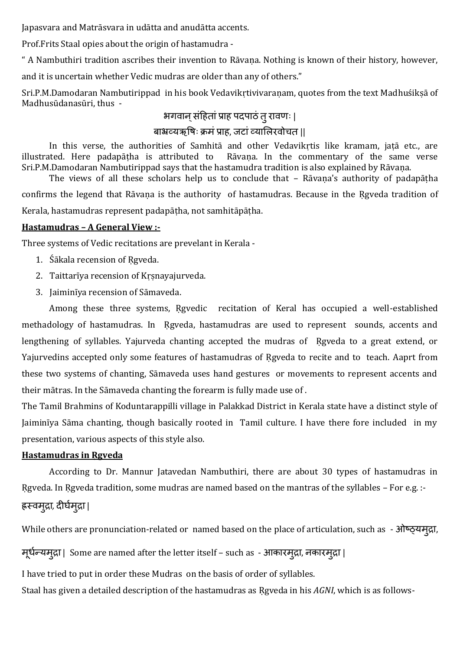Japasvara and Matrāsvara in udātta and anudātta accents.

Prof.Frits Staal opies about the origin of hastamudra -

" A Nambuthiri tradition ascribes their invention to Rāvaṇa. Nothing is known of their history, however,

and it is uncertain whether Vedic mudras are older than any of others."

Sri.P.M.Damodaran Nambutirippad in his book Vedavikrtivivaranam, quotes from the text Madhuśikṣā of Madhusūdanasūri, thus -

# भगवान् संहितां प्राह पदपाठं त् रावणः |

# बाभ्रव्यऋषिः क्रमं प्राह, जटां व्यालिरवोचत ||

In this verse, the authorities of Samhitā and other Vedavikṛtis like kramam, jaṭā etc., are illustrated. Here padapātha is attributed to Rāvana. In the commentary of the same verse Sri.P.M.Damodaran Nambutirippad says that the hastamudra tradition is also explained by Rāvaṇa.

The views of all these scholars help us to conclude that – Rāvaṇa's authority of padapāṭha confirms the legend that Rāvana is the authority of hastamudras. Because in the Rgveda tradition of Kerala, hastamudras represent padapāṭha, not samhitāpāṭha.

### **Hastamudras – A General View :-**

Three systems of Vedic recitations are prevelant in Kerala -

- 1. Śākala recension of Rgyeda.
- 2. Taittarīya recension of Kṛṣnayajurveda.
- 3. Jaiminīya recension of Sāmaveda.

Among these three systems, Rgyedic recitation of Keral has occupied a well-established methadology of hastamudras. In Rgveda, hastamudras are used to represent sounds, accents and lengthening of syllables. Yajurveda chanting accepted the mudras of Rgveda to a great extend, or Yajurvedins accepted only some features of hastamudras of Rgveda to recite and to teach. Aaprt from these two systems of chanting, Sāmaveda uses hand gestures or movements to represent accents and their mātras. In the Sāmaveda chanting the forearm is fully made use of .

The Tamil Brahmins of Koduntarappilli village in Palakkad District in Kerala state have a distinct style of Jaiminīya Sāma chanting, though basically rooted in Tamil culture. I have there fore included in my presentation, various aspects of this style also.

### **Hastamudras in Ṛgveda**

According to Dr. Mannur Jatavedan Nambuthiri, there are about 30 types of hastamudras in Rgveda. In Rgveda tradition, some mudras are named based on the mantras of the syllables – For e.g. :-

# ह्रस्वमुद्रा*,* र्ीघमण ुद्रा |

While others are pronunciation-related or named based on the place of articulation, such as - ओष्ठ्यमुद्रा,

मूर्न्ण यमुद्रा | Some are named after the letter itself – such as - आकारमुद्रा, नकारमुद्रा |

I have tried to put in order these Mudras on the basis of order of syllables.

Staal has given a detailed description of the hastamudras as Ṛgveda in his *AGNI*, which is as follows-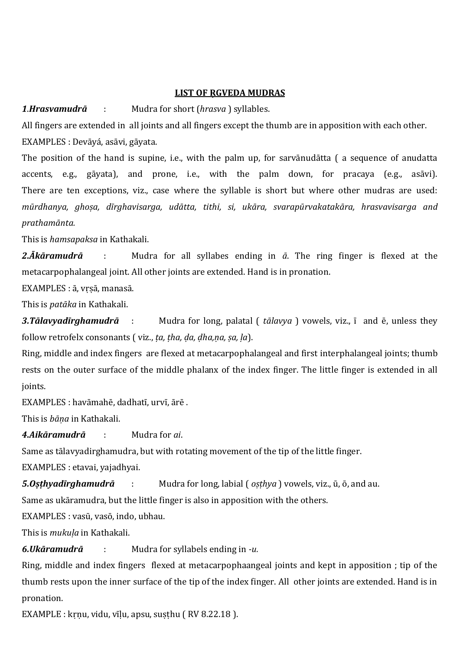#### **LIST OF ṚGVEDA MUDRAS**

*1*.*Hrasvamudrā* : Mudra for short (*hrasva* ) syllables.

All fingers are extended in all joints and all fingers except the thumb are in apposition with each other. EXAMPLES : Devāyá, asāvi, gāyata.

The position of the hand is supine, i.e., with the palm up, for sarvānudātta ( a sequence of anudatta accents, e.g., gāyata), and prone, i.e., with the palm down, for pracaya (e.g., asāvi). There are ten exceptions, viz., case where the syllable is short but where other mudras are used: *mūrdhanya, ghoṣa, dīrghavisarga, udātta, tithi, si, ukāra, svarapūrvakatakāra, hrasvavisarga and prathamānta.*

This is *hamsapaksa* in Kathakali.

*2.Ākāramudrā* : Mudra for all syllabes ending in *ā*. The ring finger is flexed at the metacarpophalangeal joint. All other joints are extended. Hand is in pronation.

EXAMPLES : ā, vṛṣā, manasā.

This is *patāka* in Kathakali.

*3.Tālavyadīrghamudrā* : Mudra for long, palatal ( *tālavya* ) vowels, viz., ī and ē, unless they follow retrofelx consonants ( viz., *ṭa, ṭha, ḍa, ḍha,ṇa, ṣa, ḷa*).

Ring, middle and index fingers are flexed at metacarpophalangeal and first interphalangeal joints; thumb rests on the outer surface of the middle phalanx of the index finger. The little finger is extended in all joints.

EXAMPLES : havāmahē, dadhatī, urvī, ārē .

This is *bāṇa* in Kathakali.

*4.Aikāramudrā* : Mudra for *ai*.

Same as tālavyadirghamudra, but with rotating movement of the tip of the little finger.

EXAMPLES : etavai, yajadhyai.

*5.Oṣṭhyadīrghamudrā* : Mudra for long, labial ( *oṣṭhya* ) vowels, viz., ū, ō, and au.

Same as ukāramudra, but the little finger is also in apposition with the others.

EXAMPLES : vasū, vasō, indo, ubhau.

This is *mukuḷa* in Kathakali.

*6.Ukāramudrā* : Mudra for syllabels ending in *-u.*

Ring, middle and index fingers flexed at metacarpophaangeal joints and kept in apposition ; tip of the thumb rests upon the inner surface of the tip of the index finger. All other joints are extended. Hand is in pronation.

EXAMPLE : kṛṇu, vidu, vīḷu, apsu, suṣṭhu ( RV 8.22.18 ).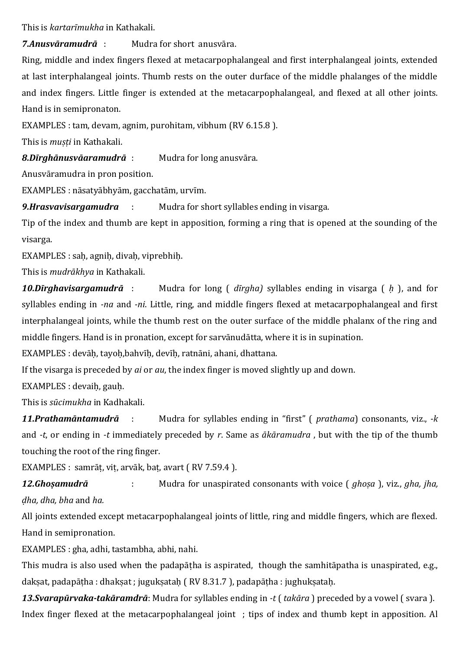This is *kartarīmukha* in Kathakali.

*7.Anusvāramudrā* : Mudra for short anusvāra.

Ring, middle and index fingers flexed at metacarpophalangeal and first interphalangeal joints, extended at last interphalangeal joints. Thumb rests on the outer durface of the middle phalanges of the middle and index fingers. Little finger is extended at the metacarpophalangeal, and flexed at all other joints. Hand is in semipronaton.

EXAMPLES : tam, devam, agnim, purohitam, vibhum (RV 6.15.8 ).

This is *muṣṭi* in Kathakali.

*8.Dīrghānusvāaramudrā* : Mudra for long anusvāra.

Anusvāramudra in pron position.

EXAMPLES : nāsatyābhyām, gacchatām, urvīm.

9.Hrasvavisargamudra : Mudra for short syllables ending in visarga.

Tip of the index and thumb are kept in apposition, forming a ring that is opened at the sounding of the visarga.

EXAMPLES : saḥ, agniḥ, divaḥ, viprebhiḥ.

This is *mudrākhya* in Kathakali.

*10.Dīrghavisargamudrā* : Mudra for long ( *dīrgha)* syllables ending in visarga ( *ḥ* ), and for syllables ending in *-na* and *-ni*. Little, ring, and middle fingers flexed at metacarpophalangeal and first interphalangeal joints, while the thumb rest on the outer surface of the middle phalanx of the ring and middle fingers. Hand is in pronation, except for sarvānudātta, where it is in supination.

EXAMPLES : devāḥ, tayoḥ,bahvīḥ, devīḥ, ratnāni, ahani, dhattana.

If the visarga is preceded by *ai* or *au*, the index finger is moved slightly up and down.

EXAMPLES : devaiḥ, gauḥ.

This is *sūcimukha* in Kadhakali.

*11.Prathamāntamudrā* : Mudra for syllables ending in "first" ( *prathama*) consonants, viz., *-k* and *-t*, or ending in *-t* immediately preceded by *r*. Same as *ākāramudra* , but with the tip of the thumb touching the root of the ring finger.

EXAMPLES : samrāṭ, viṭ, arvāk, baṭ, avart ( RV 7.59.4 ).

*12.Ghoṣamudrā* : Mudra for unaspirated consonants with voice ( *ghoṣa* ), viz., *gha, jha, ḍha, dha, bha* and *ha.*

All joints extended except metacarpophalangeal joints of little, ring and middle fingers, which are flexed. Hand in semipronation.

EXAMPLES : gha, adhi, tastambha, abhi, nahi.

This mudra is also used when the padapātha is aspirated, though the samhitāpatha is unaspirated, e.g., dakṣat, padapāṭha : dhakṣat ; jugukṣataḥ ( RV 8.31.7 ), padapāṭha : jughukṣataḥ.

*13.Svarapūrvaka-takāramdrā*: Mudra for syllables ending in *-t* ( *takāra* ) preceded by a vowel ( svara ). Index finger flexed at the metacarpophalangeal joint ; tips of index and thumb kept in apposition. Al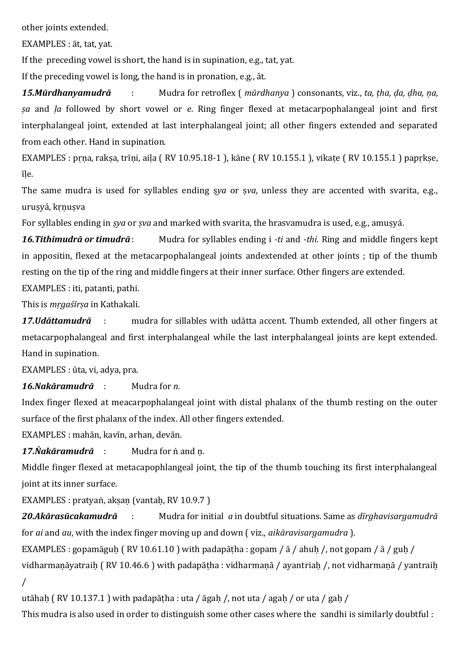other joints extended.

EXAMPLES : āt, tat, yat.

If the preceding vowel is short, the hand is in supination, e.g., tat, yat.

If the preceding vowel is long, the hand is in pronation, e.g., āt.

*15.Mūrdhanyamudrā* : Mudra for retroflex ( *mūrdhanya* ) consonants, viz., *ta, ṭha, ḍa, ḍha, ṇa, ṣa* and *ḷa* followed by short vowel or *e*. Ring finger flexed at metacarpophalangeal joint and first interphalangeal joint, extended at last interphalangeal joint; all other fingers extended and separated from each other. Hand in supination.

EXAMPLES : pṛṇa, rakṣa, trīṇi, aiḷa ( RV 10.95.18-1 ), kāne ( RV 10.155.1 ), vikaṭe ( RV 10.155.1 ) papṛkṣe, īḷe.

The same mudra is used for syllables ending sya or sya, unless they are accented with svarita, e.g., uruṣyá, kṛṇuṣva

For syllables ending in *ṣya* or *ṣva* and marked with svarita, the hrasvamudra is used, e.g., amuṣyá.

*16.Tithimudrā or timudrā*: Mudra for syllables ending i *-ti* and *-thi.* Ring and middle fingers kept in appositin, flexed at the metacarpophalangeal joints andextended at other joints ; tip of the thumb resting on the tip of the ring and middle fingers at their inner surface. Other fingers are extended. EXAMPLES : iti, patanti, pathi.

This is *mṛgaśīrṣa* in Kathakali.

*17.Udāttamudrā* : mudra for sillables with udātta accent. Thumb extended, all other fingers at metacarpophalangeal and first interphalangeal while the last interphalangeal joints are kept extended. Hand in supination.

EXAMPLES : ūta, vi, adya, pra.

*16.Nakāramudrā* : Mudra for *n.*

Index finger flexed at meacarpophalangeal joint with distal phalanx of the thumb resting on the outer surface of the first phalanx of the index. All other fingers extended.

EXAMPLES : mahān, kavīn, arhan, devān.

*17.Ṅakāramudrā* : Mudra for ṅ and ṇ.

Middle finger flexed at metacapophlangeal joint, the tip of the thumb touching its first interphalangeal joint at its inner surface.

EXAMPLES : pratyaṅ, aksan (vantah, RV 10.9.7)

*20.Akārasūcakamudrā* : Mudra for initial *a* in doubtful situations. Same as *dīrghavisargamudrā* for *ai* and *au*, with the index finger moving up and down ( viz., *aikāravisargamudra* ).

EXAMPLES : gopamāguh (RV 10.61.10) with padapātha : gopam / ā / ahuh /, not gopam / ā / guh /

vidharmanāyatraih (RV 10.46.6) with padapātha : vidharmanā / ayantriah /, not vidharmanā / yantraih /

utāhah (RV 10.137.1) with padapātha : uta / āgah /, not uta / agah / or uta / gah /

This mudra is also used in order to distinguish some other cases where the sandhi is similarly doubtful :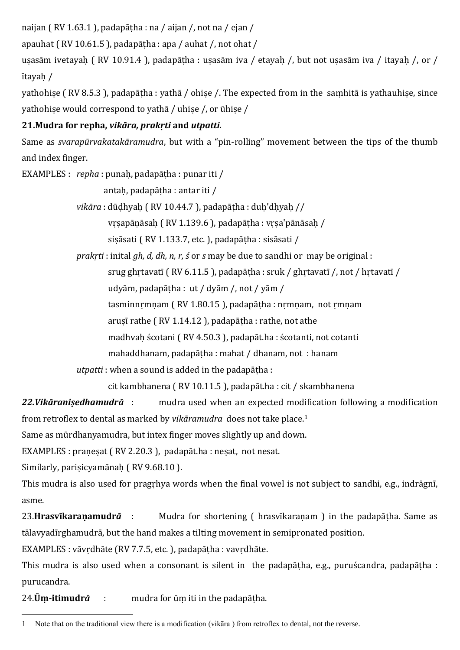naijan ( RV 1.63.1 ), padapāṭha : na / aijan /, not na / ejan /

apauhat ( RV 10.61.5 ), padapāṭha : apa / auhat /, not ohat /

usasām ivetayah (RV 10.91.4 ), padapātha : usasām iva / etayah /, but not usasām iva / itayah /, or / ītayaḥ /

yathohise (RV 8.5.3), padapātha : yathā / ohise /. The expected from in the samhitā is yathauhise, since yathohiṣe would correspond to yathā / uhiṣe /, or ūhiṣe /

# **21.Mudra for repha,** *vikāra, prakṛti* **and** *utpatti.*

Same as *svarapūrvakatakāramudra*, but with a "pin-rolling" movement between the tips of the thumb and index finger.

EXAMPLES : *repha* : punaḥ, padapāṭha : punar iti /

antaḥ, padapāṭha : antar iti /

*vikāra* : dūḍhyaḥ ( RV 10.44.7 ), padapāṭha : duḥ'dḥyaḥ //

vṛṣapāṇāsaḥ ( RV 1.139.6 ), padapāṭha : vṛṣa'pānāsaḥ /

sisāsati (RV 1.133.7, etc.), padapātha : sisāsati /

*prakṛti* : inital *gh, d, dh, n, r, ś* or *s* may be due to sandhi or may be original :

srug ghrtavatī (RV 6.11.5), padapātha : sruk / ghrtavatī /, not / hrtavatī /

udyām, padapāṭha : ut / dyām /, not / yām /

tasminnṛmṇam ( RV 1.80.15 ), padapāṭha : nṛmṇam, not ṛmṇam

arusī rathe ( RV 1.14.12 ), padapāṭha : rathe, not athe

madhvaḥ ścotani ( RV 4.50.3 ), padapāt.ha : ścotanti, not cotanti

mahaddhanam, padapāṭha : mahat / dhanam, not : hanam

*utpatti* : when a sound is added in the padapāṭha :

cit kambhanena ( RV 10.11.5 ), padapāt.ha : cit / skambhanena

*22.Vikāraniṣedhamudrā* : mudra used when an expected modification following a modification from retroflex to dental as marked by *vikāramudra* does not take place.<sup>1</sup>

Same as mūrdhanyamudra, but intex finger moves slightly up and down.

EXAMPLES : pranesat (RV 2.20.3), padapāt.ha : nesat, not nesat.

Similarly, parisicyamānah (RV 9.68.10).

This mudra is also used for pragṛhya words when the final vowel is not subject to sandhi, e.g., indrāgnī, asme.

23.**Hrasvīkaraṇamudr***ā* : Mudra for shortening ( hrasvīkaraṇam ) in the padapāṭha. Same as tālavyadīrghamudrā, but the hand makes a tilting movement in semipronated position.

EXAMPLES : vāvṛdhāte (RV 7.7.5, etc. ), padapāṭha : vavṛdhāte.

This mudra is also used when a consonant is silent in the padapāṭha, e.g., puruścandra, padapāṭha : purucandra.

24.**Ūṃ-itimudr***ā* : mudra for ūṃ iti in the padapāṭha.

 $\overline{a}$ 1 Note that on the traditional view there is a modification (vikāra ) from retroflex to dental, not the reverse.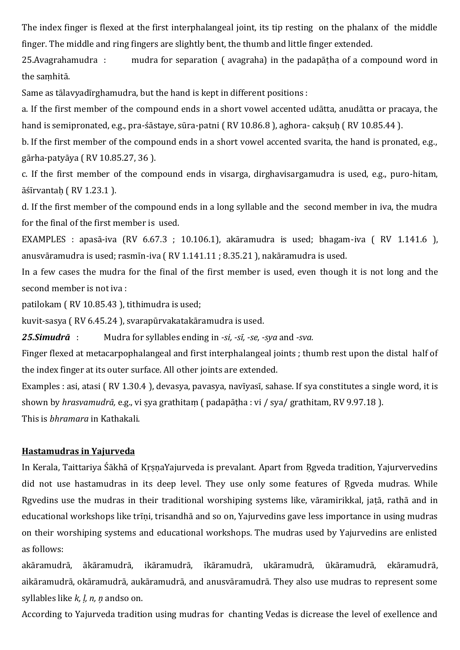The index finger is flexed at the first interphalangeal joint, its tip resting on the phalanx of the middle finger. The middle and ring fingers are slightly bent, the thumb and little finger extended.

25.Avagrahamudra : mudra for separation ( avagraha) in the padapāṭha of a compound word in the saṃhitā.

Same as tālavyadīrghamudra, but the hand is kept in different positions :

a. If the first member of the compound ends in a short vowel accented udātta, anudātta or pracaya, the hand is semipronated, e.g., pra-śāstaye, sūra-patni (RV 10.86.8), aghora- caksuh (RV 10.85.44).

b. If the first member of the compound ends in a short vowel accented svarita, the hand is pronated, e.g., gārha-patyāya ( RV 10.85.27, 36 ).

c. If the first member of the compound ends in visarga, dirghavisargamudra is used, e.g., puro-hitam, āśīrvantaḥ ( RV 1.23.1 ).

d. If the first member of the compound ends in a long syllable and the second member in iva, the mudra for the final of the first member is used.

EXAMPLES : apasā-iva (RV 6.67.3 ; 10.106.1), akāramudra is used; bhagam-iva ( RV 1.141.6 ), anusvāramudra is used; rasmīn-iva ( RV 1.141.11 ; 8.35.21 ), nakāramudra is used.

In a few cases the mudra for the final of the first member is used, even though it is not long and the second member is not iva :

patilokam ( RV 10.85.43 ), tithimudra is used;

kuvit-sasya ( RV 6.45.24 ), svarapūrvakatakāramudra is used.

*25.Simudrā* : Mudra for syllables ending in *-si, -sī, -se, -sya* and *-sva.* 

Finger flexed at metacarpophalangeal and first interphalangeal joints ; thumb rest upon the distal half of the index finger at its outer surface. All other joints are extended.

Examples : asi, atasi ( RV 1.30.4 ), devasya, pavasya, navīyasī, sahase. If sya constitutes a single word, it is shown by *hrasvamudrā,* e.g., vi ṣya grathitaṃ ( padapāṭha : vi / sya/ grathitam, RV 9.97.18 ). This is *bhramara* in Kathakali.

# **Hastamudras in Yajurveda**

In Kerala, Taittariya Śākhā of KṛṣṇaYajurveda is prevalant. Apart from Ṛgveda tradition, Yajurvervedins did not use hastamudras in its deep level. They use only some features of Rgveda mudras. While Rgvedins use the mudras in their traditional worshiping systems like, vāramirikkal, jaṭā, rathā and in educational workshops like trīṇi, trisandhā and so on, Yajurvedins gave less importance in using mudras on their worshiping systems and educational workshops. The mudras used by Yajurvedins are enlisted as follows:

akāramudrā, ākāramudrā, ikāramudrā, īkāramudrā, ukāramudrā, ūkāramudrā, ekāramudrā, aikāramudrā, okāramudrā, aukāramudrā, and anusvāramudrā. They also use mudras to represent some syllables like *k, ḷ, n, ņ* andso on.

According to Yajurveda tradition using mudras for chanting Vedas is dicrease the level of exellence and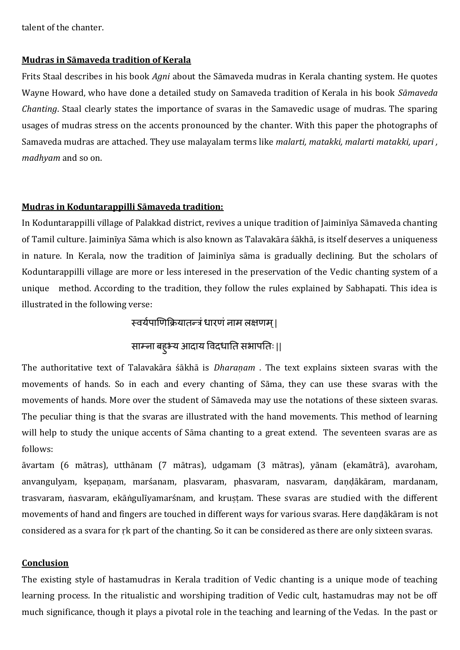talent of the chanter.

#### **Mudras in Sāmaveda tradition of Kerala**

Frits Staal describes in his book *Agni* about the Sāmaveda mudras in Kerala chanting system. He quotes Wayne Howard, who have done a detailed study on Samaveda tradition of Kerala in his book *Sāmaveda Chanting*. Staal clearly states the importance of svaras in the Samavedic usage of mudras. The sparing usages of mudras stress on the accents pronounced by the chanter. With this paper the photographs of Samaveda mudras are attached. They use malayalam terms like *malarti, matakki, malarti matakki, upari , madhyam* and so on.

#### **Mudras in Koduntarappilli Sāmaveda tradition:**

In Koduntarappilli village of Palakkad district, revives a unique tradition of Jaiminīya Sāmaveda chanting of Tamil culture. Jaiminīya Sāma which is also known as Talavakāra śākhā, is itself deserves a uniqueness in nature. In Kerala, now the tradition of Jaiminīya sāma is gradually declining. But the scholars of Koduntarappilli village are more or less interesed in the preservation of the Vedic chanting system of a unique method. According to the tradition, they follow the rules explained by Sabhapati. This idea is illustrated in the following verse:

स्वर्यपाणिक्रियातन्त्रं धारणं नाम लक्षणम् |

# साम्ना बह्भ्य आदाय विदधाति सभापतिः ||

The authoritative text of Talavakāra śākhā is *Dharaṇam* . The text explains sixteen svaras with the movements of hands. So in each and every chanting of Sāma, they can use these svaras with the movements of hands. More over the student of Sāmaveda may use the notations of these sixteen svaras. The peculiar thing is that the svaras are illustrated with the hand movements. This method of learning will help to study the unique accents of Sāma chanting to a great extend. The seventeen svaras are as follows:

āvartam (6 mātras), utthānam (7 mātras), udgamam (3 mātras), yānam (ekamātrā), avaroham, anvangulyam, kṣepaṇam, marśanam, plasvaram, phasvaram, nasvaram, daṇḍākāram, mardanam, trasvaram, nasvaram, ekāṅgulīyamarśnam, and krustam. These svaras are studied with the different movements of hand and fingers are touched in different ways for various svaras. Here daṇḍākāram is not considered as a svara for ṛk part of the chanting. So it can be considered as there are only sixteen svaras.

#### **Conclusion**

The existing style of hastamudras in Kerala tradition of Vedic chanting is a unique mode of teaching learning process. In the ritualistic and worshiping tradition of Vedic cult, hastamudras may not be off much significance, though it plays a pivotal role in the teaching and learning of the Vedas. In the past or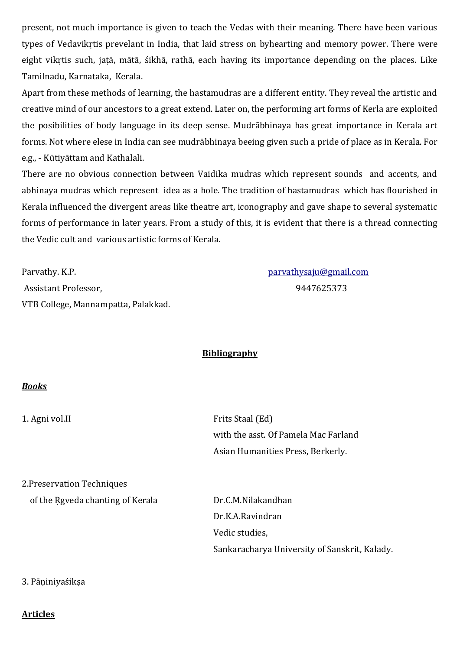present, not much importance is given to teach the Vedas with their meaning. There have been various types of Vedavikṛtis prevelant in India, that laid stress on byhearting and memory power. There were eight vikṛtis such, jaṭā, mātā, śikhā, rathā, each having its importance depending on the places. Like Tamilnadu, Karnataka, Kerala.

Apart from these methods of learning, the hastamudras are a different entity. They reveal the artistic and creative mind of our ancestors to a great extend. Later on, the performing art forms of Kerla are exploited the posibilities of body language in its deep sense. Mudrābhinaya has great importance in Kerala art forms. Not where elese in India can see mudrābhinaya beeing given such a pride of place as in Kerala. For e.g., - Kūtiyāttam and Kathalali.

There are no obvious connection between Vaidika mudras which represent sounds and accents, and abhinaya mudras which represent idea as a hole. The tradition of hastamudras which has flourished in Kerala influenced the divergent areas like theatre art, iconography and gave shape to several systematic forms of performance in later years. From a study of this, it is evident that there is a thread connecting the Vedic cult and various artistic forms of Kerala.

Parvathy. K.P. [parvathysaju@gmail.com](mailto:parvathysaju@gmail.com) Assistant Professor, 2008 and 2012 12:3373 and 2014 2019 2014 2025 373 VTB College, Mannampatta, Palakkad.

### **Bibliography**

#### *Books*

1. Agni vol.II Frits Staal (Ed) with the asst. Of Pamela Mac Farland Asian Humanities Press, Berkerly.

2.Preservation Techniques

of the Rgveda chanting of Kerala Dr.C.M.Nilakandhan

Dr.K.A.Ravindran Vedic studies, Sankaracharya University of Sanskrit, Kalady.

### 3. Pāṇiniyaśikṣa

#### **Articles**